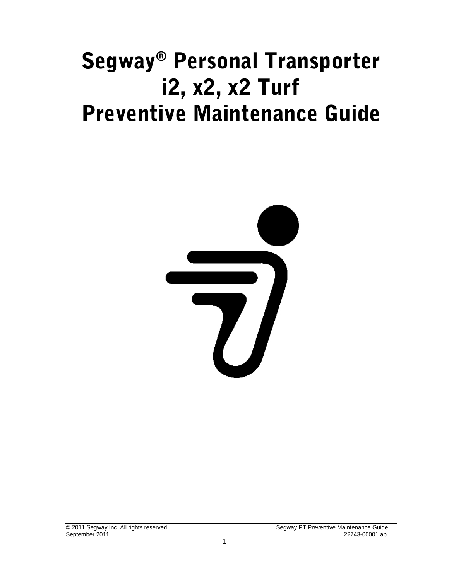# Segway® Personal Transporter i2, x2, x2 Turf Preventive Maintenance Guide

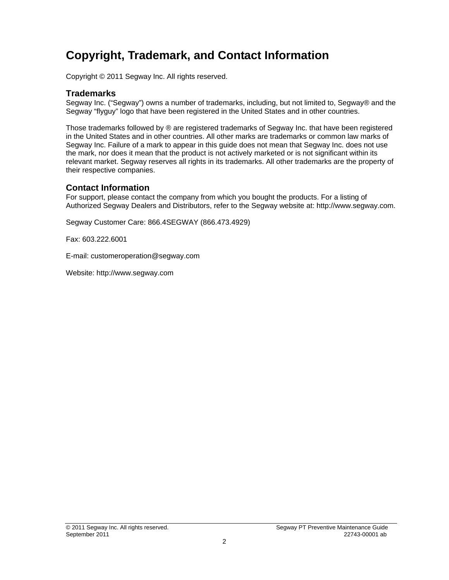### <span id="page-1-0"></span>**Copyright, Trademark, and Contact Information**

Copyright © 2011 Segway Inc. All rights reserved.

#### **Trademarks**

Segway Inc. ("Segway") owns a number of trademarks, including, but not limited to, Segway® and the Segway "flyguy" logo that have been registered in the United States and in other countries.

Those trademarks followed by ® are registered trademarks of Segway Inc. that have been registered in the United States and in other countries. All other marks are trademarks or common law marks of Segway Inc. Failure of a mark to appear in this guide does not mean that Segway Inc. does not use the mark, nor does it mean that the product is not actively marketed or is not significant within its relevant market. Segway reserves all rights in its trademarks. All other trademarks are the property of their respective companies.

#### **Contact Information**

For support, please contact the company from which you bought the products. For a listing of Authorized Segway Dealers and Distributors, refer to the Segway website at: http://www.segway.com.

Segway Customer Care: 866.4SEGWAY (866.473.4929)

Fax: 603.222.6001

E-mail: customeroperation@segway.com

Website: http://www.segway.com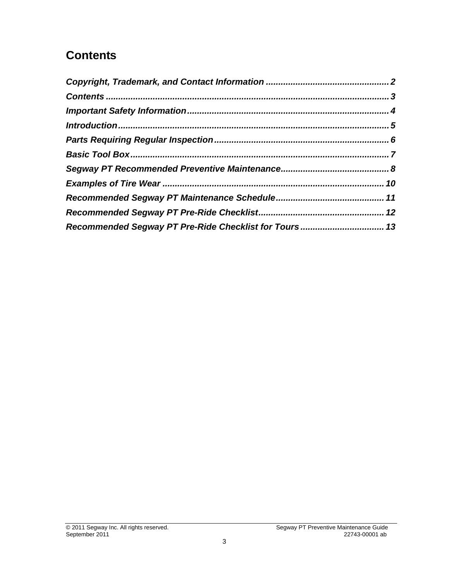### <span id="page-2-0"></span>**Contents**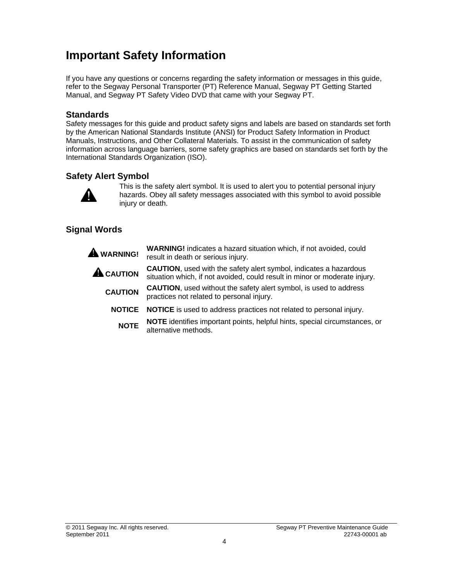### <span id="page-3-0"></span>**Important Safety Information**

If you have any questions or concerns regarding the safety information or messages in this guide, refer to the Segway Personal Transporter (PT) Reference Manual, Segway PT Getting Started Manual, and Segway PT Safety Video DVD that came with your Segway PT.

#### **Standards**

Safety messages for this guide and product safety signs and labels are based on standards set forth by the American National Standards Institute (ANSI) for Product Safety Information in Product Manuals, Instructions, and Other Collateral Materials. To assist in the communication of safety information across language barriers, some safety graphics are based on standards set forth by the International Standards Organization (ISO).

#### **Safety Alert Symbol**



This is the safety alert symbol. It is used to alert you to potential personal injury hazards. Obey all safety messages associated with this symbol to avoid possible injury or death.

#### **Signal Words**

 **WARNING! WARNING!** indicates a hazard situation which, if not avoided, could result in death or serious injury. **A CAUTION**, used with the safety alert symbol, indicates a hazardous<br> **CAUTION** attention which if not symbol, sould result in minor or moderate injur situation which, if not avoided, could result in minor or moderate injury. **CAUTION CAUTION**, used without the safety alert symbol, is used to address practices not related to personal injury. **NOTICE NOTICE** is used to address practices not related to personal injury. **NOTE NOTE** identifies important points, helpful hints, special circumstances, or alternative methods.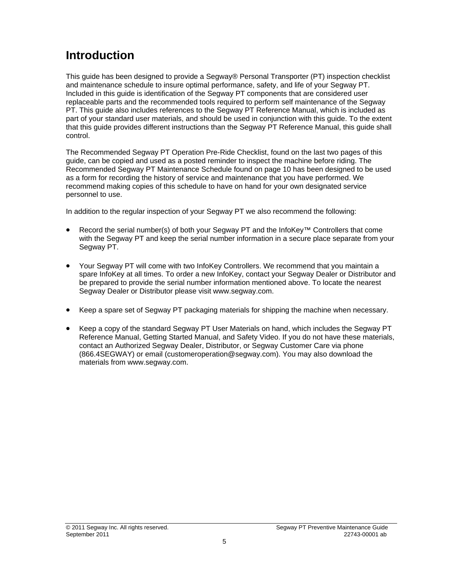### <span id="page-4-0"></span>**Introduction**

This guide has been designed to provide a Segway® Personal Transporter (PT) inspection checklist and maintenance schedule to insure optimal performance, safety, and life of your Segway PT. Included in this guide is identification of the Segway PT components that are considered user replaceable parts and the recommended tools required to perform self maintenance of the Segway PT. This guide also includes references to the Segway PT Reference Manual, which is included as part of your standard user materials, and should be used in conjunction with this guide. To the extent that this guide provides different instructions than the Segway PT Reference Manual, this guide shall control.

The Recommended Segway PT Operation Pre-Ride Checklist, found on the last two pages of this guide, can be copied and used as a posted reminder to inspect the machine before riding. The Recommended Segway PT Maintenance Schedule found on page 10 has been designed to be used as a form for recording the history of service and maintenance that you have performed. We recommend making copies of this schedule to have on hand for your own designated service personnel to use.

In addition to the regular inspection of your Segway PT we also recommend the following:

- Record the serial number(s) of both your Segway PT and the InfoKey™ Controllers that come with the Segway PT and keep the serial number information in a secure place separate from your Segway PT.
- Your Segway PT will come with two InfoKey Controllers. We recommend that you maintain a spare InfoKey at all times. To order a new InfoKey, contact your Segway Dealer or Distributor and be prepared to provide the serial number information mentioned above. To locate the nearest Segway Dealer or Distributor please visit www.segway.com.
- Keep a spare set of Segway PT packaging materials for shipping the machine when necessary.
- Keep a copy of the standard Segway PT User Materials on hand, which includes the Segway PT Reference Manual, Getting Started Manual, and Safety Video. If you do not have these materials, contact an Authorized Segway Dealer, Distributor, or Segway Customer Care via phone (866.4SEGWAY) or email (customeroperation@segway.com). You may also download the materials from www.segway.com.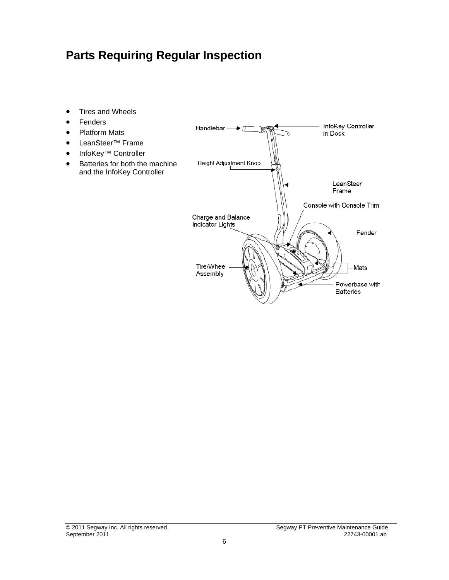#### <span id="page-5-0"></span>**Parts Requiring Regular Inspection**

- Tires and Wheels
- Fenders
- Platform Mats
- LeanSteer™ Frame
- InfoKey™ Controller
- Batteries for both the machine and the InfoKey Controller

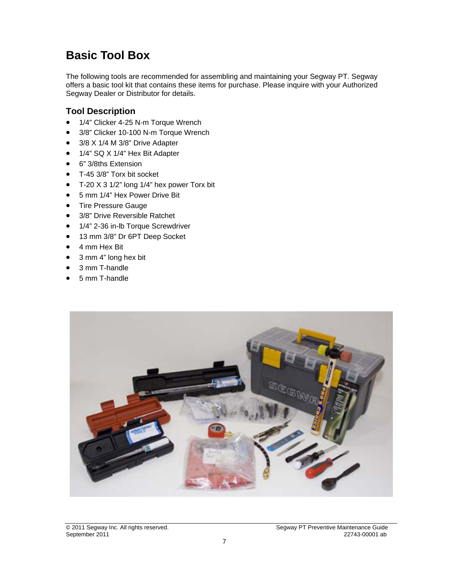### <span id="page-6-0"></span>**Basic Tool Box**

The following tools are recommended for assembling and maintaining your Segway PT. Segway offers a basic tool kit that contains these items for purchase. Please inquire with your Authorized Segway Dealer or Distributor for details.

#### **Tool Description**

- 1/4" Clicker 4-25 N-m Torque Wrench
- 3/8" Clicker 10-100 N-m Torque Wrench
- 3/8 X 1/4 M 3/8" Drive Adapter
- 1/4" SQ X 1/4" Hex Bit Adapter
- 6" 3/8ths Extension
- T-45 3/8" Torx bit socket
- T-20 X 3 1/2" long 1/4" hex power Torx bit
- 5 mm 1/4" Hex Power Drive Bit
- Tire Pressure Gauge
- 3/8" Drive Reversible Ratchet
- 1/4" 2-36 in-lb Torque Screwdriver
- 13 mm 3/8" Dr 6PT Deep Socket
- 4 mm Hex Bit
- 3 mm 4" long hex bit
- 3 mm T-handle
- 5 mm T-handle

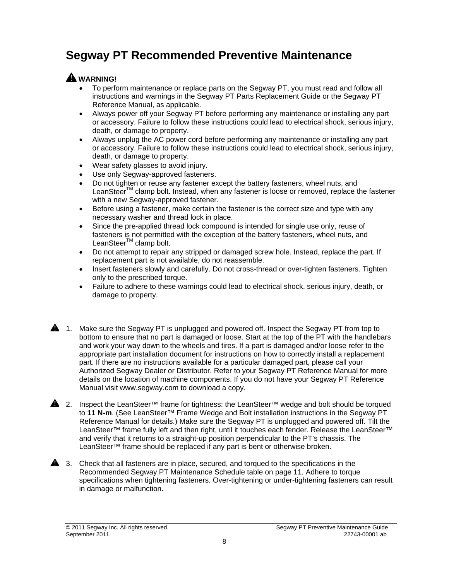### <span id="page-7-0"></span>**Segway PT Recommended Preventive Maintenance**

#### **WARNING!**

- To perform maintenance or replace parts on the Segway PT, you must read and follow all instructions and warnings in the Segway PT Parts Replacement Guide or the Segway PT Reference Manual, as applicable.
- Always power off your Segway PT before performing any maintenance or installing any part or accessory. Failure to follow these instructions could lead to electrical shock, serious injury, death, or damage to property.
- Always unplug the AC power cord before performing any maintenance or installing any part or accessory. Failure to follow these instructions could lead to electrical shock, serious injury, death, or damage to property.
- Wear safety glasses to avoid injury.
- Use only Segway-approved fasteners.
- Do not tighten or reuse any fastener except the battery fasteners, wheel nuts, and LeanSteer™ clamp bolt. Instead, when any fastener is loose or removed, replace the fastener with a new Segway-approved fastener.
- Before using a fastener, make certain the fastener is the correct size and type with any necessary washer and thread lock in place.
- Since the pre-applied thread lock compound is intended for single use only, reuse of fasteners is not permitted with the exception of the battery fasteners, wheel nuts, and LeanSteer<sup>™</sup> clamp bolt.
- Do not attempt to repair any stripped or damaged screw hole. Instead, replace the part. If replacement part is not available, do not reassemble.
- Insert fasteners slowly and carefully. Do not cross-thread or over-tighten fasteners. Tighten only to the prescribed torque.
- Failure to adhere to these warnings could lead to electrical shock, serious injury, death, or damage to property.
- 1. Make sure the Segway PT is unplugged and powered off. Inspect the Segway PT from top to bottom to ensure that no part is damaged or loose. Start at the top of the PT with the handlebars and work your way down to the wheels and tires. If a part is damaged and/or loose refer to the appropriate part installation document for instructions on how to correctly install a replacement part. If there are no instructions available for a particular damaged part, please call your Authorized Segway Dealer or Distributor. Refer to your Segway PT Reference Manual for more details on the location of machine components. If you do not have your Segway PT Reference Manual visit www.segway.com to download a copy.
- 4. 2. Inspect the LeanSteer™ frame for tightness: the LeanSteer™ wedge and bolt should be torqued to **11 N-m**. (See LeanSteer™ Frame Wedge and Bolt installation instructions in the Segway PT Reference Manual for details.) Make sure the Segway PT is unplugged and powered off. Tilt the LeanSteer™ frame fully left and then right, until it touches each fender. Release the LeanSteer™ and verify that it returns to a straight-up position perpendicular to the PT's chassis. The LeanSteer™ frame should be replaced if any part is bent or otherwise broken.
- **4.** 3. Check that all fasteners are in place, secured, and torqued to the specifications in the Recommended Segway PT Maintenance Schedule table on page 11. Adhere to torque specifications when tightening fasteners. Over-tightening or under-tightening fasteners can result in damage or malfunction.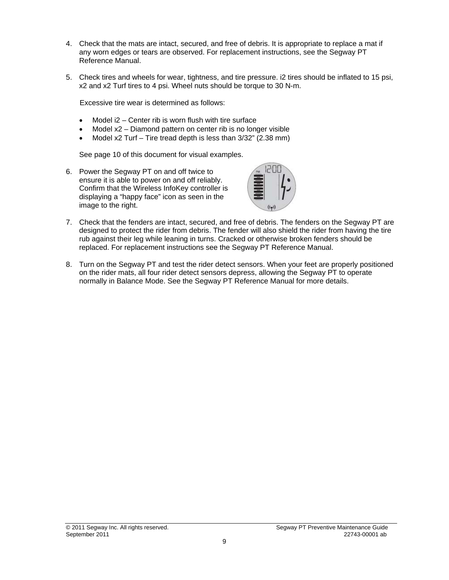- 4. Check that the mats are intact, secured, and free of debris. It is appropriate to replace a mat if any worn edges or tears are observed. For replacement instructions, see the Segway PT Reference Manual.
- 5. Check tires and wheels for wear, tightness, and tire pressure. i2 tires should be inflated to 15 psi, x2 and x2 Turf tires to 4 psi. Wheel nuts should be torque to 30 N-m.

Excessive tire wear is determined as follows:

- Model  $i2$  Center rib is worn flush with tire surface
- Model x2 Diamond pattern on center rib is no longer visible
- Model x2 Turf Tire tread depth is less than 3/32" (2.38 mm)

See page 10 of this document for visual examples.

6. Power the Segway PT on and off twice to ensure it is able to power on and off reliably. Confirm that the Wireless InfoKey controller is displaying a "happy face" icon as seen in the image to the right.



- 7. Check that the fenders are intact, secured, and free of debris. The fenders on the Segway PT are designed to protect the rider from debris. The fender will also shield the rider from having the tire rub against their leg while leaning in turns. Cracked or otherwise broken fenders should be replaced. For replacement instructions see the Segway PT Reference Manual.
- 8. Turn on the Segway PT and test the rider detect sensors. When your feet are properly positioned on the rider mats, all four rider detect sensors depress, allowing the Segway PT to operate normally in Balance Mode. See the Segway PT Reference Manual for more details.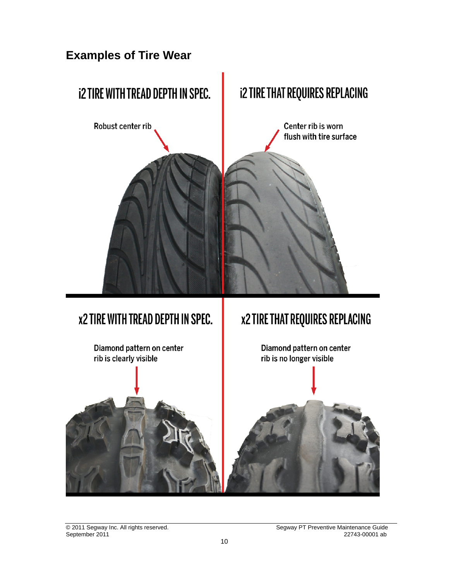<span id="page-9-0"></span>

## **x2 TIRE WITH TREAD DEPTH IN SPEC.**



September 2011 22743-0001 absolute 10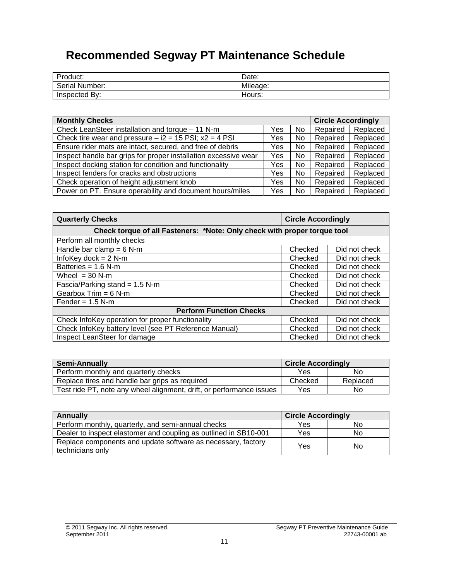### **Recommended Segway PT Maintenance Schedule**

<span id="page-10-0"></span>

| Product:       | Date:    |
|----------------|----------|
| Serial Number: | Mileage: |
| Inspected By:  | Hours:   |

| <b>Monthly Checks</b>                                           |     | <b>Circle Accordingly</b> |          |          |
|-----------------------------------------------------------------|-----|---------------------------|----------|----------|
| Check LeanSteer installation and torque - 11 N-m                | Yes | <b>No</b>                 | Repaired | Replaced |
| Check tire wear and pressure $-$ i2 = 15 PSI; $x2 = 4$ PSI      | Yes | No                        | Repaired | Replaced |
| Ensure rider mats are intact, secured, and free of debris       | Yes | No                        | Repaired | Replaced |
| Inspect handle bar grips for proper installation excessive wear | Yes | No                        | Repaired | Replaced |
| Inspect docking station for condition and functionality         | Yes | No                        | Repaired | Replaced |
| Inspect fenders for cracks and obstructions                     | Yes | No                        | Repaired | Replaced |
| Check operation of height adjustment knob                       | Yes | <b>No</b>                 | Repaired | Replaced |
| Power on PT. Ensure operability and document hours/miles        | Yes | No                        | Repaired | Replaced |

| <b>Quarterly Checks</b>                                                  | <b>Circle Accordingly</b> |               |  |
|--------------------------------------------------------------------------|---------------------------|---------------|--|
| Check torque of all Fasteners: *Note: Only check with proper torque tool |                           |               |  |
| Perform all monthly checks                                               |                           |               |  |
| Handle bar clamp = $6$ N-m                                               | Checked                   | Did not check |  |
| InfoKey dock = $2$ N-m                                                   | Checked                   | Did not check |  |
| Batteries = $1.6 N-m$                                                    | Checked                   | Did not check |  |
| Wheel $=$ 30 N-m                                                         | Checked                   | Did not check |  |
| Fascia/Parking stand = $1.5$ N-m                                         | Checked                   | Did not check |  |
| Gearbox $Trim = 6 N-m$                                                   | Checked                   | Did not check |  |
| Fender = $1.5$ N-m                                                       | Checked                   | Did not check |  |
| <b>Perform Function Checks</b>                                           |                           |               |  |
| Check InfoKey operation for proper functionality                         | Checked                   | Did not check |  |
| Check InfoKey battery level (see PT Reference Manual)                    | Checked                   | Did not check |  |
| Inspect LeanSteer for damage                                             | Checked                   | Did not check |  |

| <b>Semi-Annually</b>                                                 | <b>Circle Accordingly</b> |          |
|----------------------------------------------------------------------|---------------------------|----------|
| Perform monthly and quarterly checks                                 | Yes                       | No       |
| Replace tires and handle bar grips as required                       | Checked                   | Replaced |
| Test ride PT, note any wheel alignment, drift, or performance issues | Yes                       | No       |

| Annually                                                                         | <b>Circle Accordingly</b> |    |
|----------------------------------------------------------------------------------|---------------------------|----|
| Perform monthly, quarterly, and semi-annual checks                               | <b>Yes</b>                | No |
| Dealer to inspect elastomer and coupling as outlined in SB10-001                 | Yes                       | No |
| Replace components and update software as necessary, factory<br>technicians only | Yes                       | No |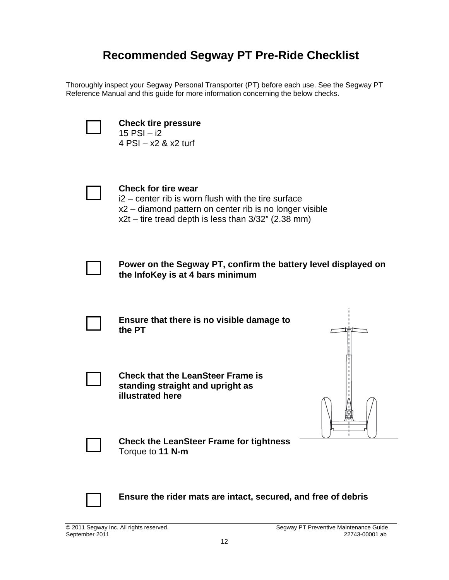#### **Recommended Segway PT Pre-Ride Checklist**

<span id="page-11-0"></span>Thoroughly inspect your Segway Personal Transporter (PT) before each use. See the Segway PT Reference Manual and this guide for more information concerning the below checks.



**Check tire pressure**  15 PSI – i2 4 PSI – x2 & x2 turf

**Check for tire wear**  i2 – center rib is worn flush with the tire surface x2 – diamond pattern on center rib is no longer visible  $x2t$  – tire tread depth is less than  $3/32$ " (2.38 mm)



**Power on the Segway PT, confirm the battery level displayed on the InfoKey is at 4 bars minimum** 



**Ensure that there is no visible damage to the PT** 



**Check that the LeanSteer Frame is standing straight and upright as illustrated here** 



**Check the LeanSteer Frame for tightness**  Torque to **11 N-m** 



**Ensure the rider mats are intact, secured, and free of debris**